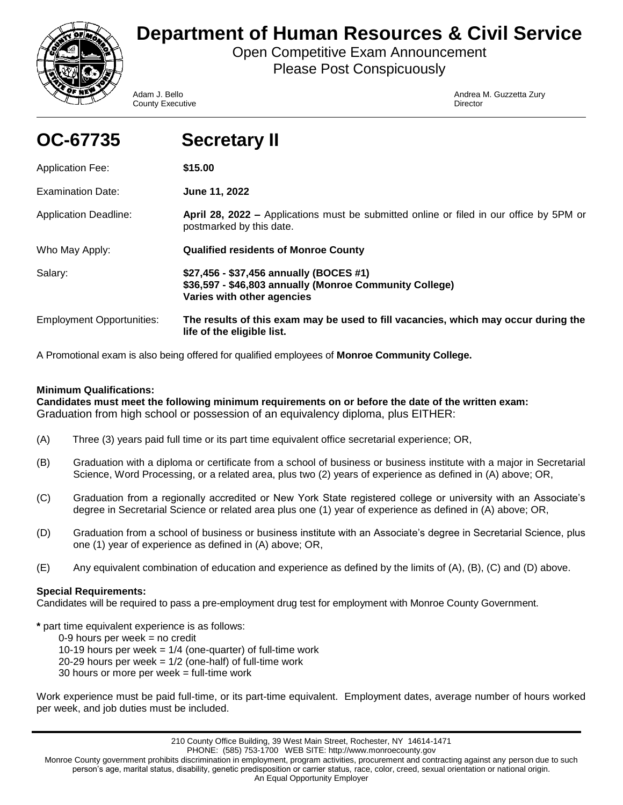

# **Department of Human Resources & Civil Service**

Open Competitive Exam Announcement Please Post Conspicuously

**County Executive Director** County **Director** 

Adam J. Bello **Andrea M. Guzzetta Zury** Andrea M. Guzzetta Zury

| OC-67735                         | <b>Secretary II</b>                                                                                                              |
|----------------------------------|----------------------------------------------------------------------------------------------------------------------------------|
| <b>Application Fee:</b>          | \$15.00                                                                                                                          |
| Examination Date:                | June 11, 2022                                                                                                                    |
| <b>Application Deadline:</b>     | April 28, 2022 – Applications must be submitted online or filed in our office by 5PM or<br>postmarked by this date.              |
| Who May Apply:                   | <b>Qualified residents of Monroe County</b>                                                                                      |
| Salary:                          | \$27,456 - \$37,456 annually (BOCES #1)<br>\$36,597 - \$46,803 annually (Monroe Community College)<br>Varies with other agencies |
| <b>Employment Opportunities:</b> | The results of this exam may be used to fill vacancies, which may occur during the<br>life of the eligible list.                 |

A Promotional exam is also being offered for qualified employees of **Monroe Community College.**

# **Minimum Qualifications:**

**Candidates must meet the following minimum requirements on or before the date of the written exam:**  Graduation from high school or possession of an equivalency diploma, plus EITHER:

- (A) Three (3) years paid full time or its part time equivalent office secretarial experience; OR,
- (B) Graduation with a diploma or certificate from a school of business or business institute with a major in Secretarial Science, Word Processing, or a related area, plus two (2) years of experience as defined in (A) above; OR,
- (C) Graduation from a regionally accredited or New York State registered college or university with an Associate's degree in Secretarial Science or related area plus one (1) year of experience as defined in (A) above; OR,
- (D) Graduation from a school of business or business institute with an Associate's degree in Secretarial Science, plus one (1) year of experience as defined in (A) above; OR,
- (E) Any equivalent combination of education and experience as defined by the limits of (A), (B), (C) and (D) above.

## **Special Requirements:**

Candidates will be required to pass a pre-employment drug test for employment with Monroe County Government.

**\*** part time equivalent experience is as follows:

 $0-9$  hours per week = no credit

10-19 hours per week  $= 1/4$  (one-quarter) of full-time work

20-29 hours per week =  $1/2$  (one-half) of full-time work

30 hours or more per week = full-time work

Work experience must be paid full-time, or its part-time equivalent. Employment dates, average number of hours worked per week, and job duties must be included.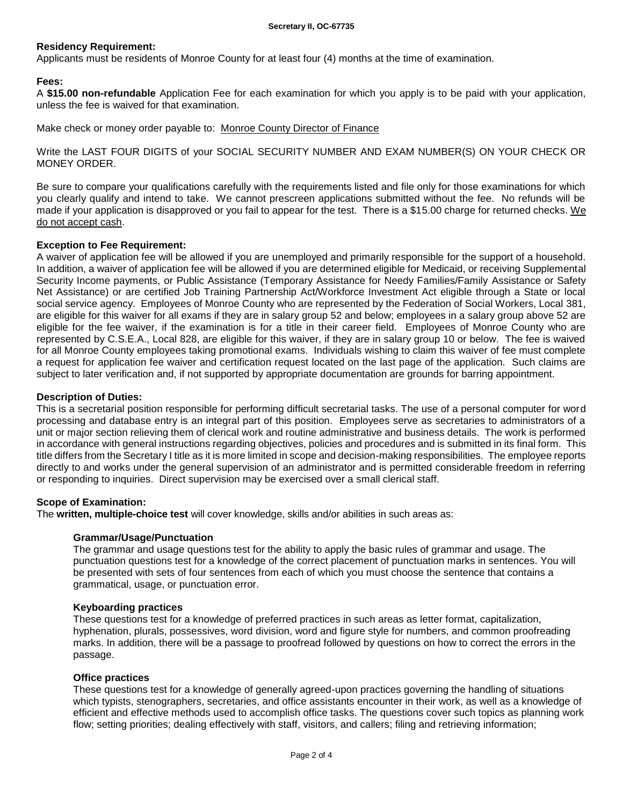## **Residency Requirement:**

Applicants must be residents of Monroe County for at least four (4) months at the time of examination.

## **Fees:**

A **\$15.00 non-refundable** Application Fee for each examination for which you apply is to be paid with your application, unless the fee is waived for that examination.

Make check or money order payable to: Monroe County Director of Finance

Write the LAST FOUR DIGITS of your SOCIAL SECURITY NUMBER AND EXAM NUMBER(S) ON YOUR CHECK OR MONEY ORDER.

Be sure to compare your qualifications carefully with the requirements listed and file only for those examinations for which you clearly qualify and intend to take. We cannot prescreen applications submitted without the fee. No refunds will be made if your application is disapproved or you fail to appear for the test. There is a \$15.00 charge for returned checks. We do not accept cash.

## **Exception to Fee Requirement:**

A waiver of application fee will be allowed if you are unemployed and primarily responsible for the support of a household. In addition, a waiver of application fee will be allowed if you are determined eligible for Medicaid, or receiving Supplemental Security Income payments, or Public Assistance (Temporary Assistance for Needy Families/Family Assistance or Safety Net Assistance) or are certified Job Training Partnership Act/Workforce Investment Act eligible through a State or local social service agency. Employees of Monroe County who are represented by the Federation of Social Workers, Local 381, are eligible for this waiver for all exams if they are in salary group 52 and below; employees in a salary group above 52 are eligible for the fee waiver, if the examination is for a title in their career field. Employees of Monroe County who are represented by C.S.E.A., Local 828, are eligible for this waiver, if they are in salary group 10 or below. The fee is waived for all Monroe County employees taking promotional exams. Individuals wishing to claim this waiver of fee must complete a request for application fee waiver and certification request located on the last page of the application. Such claims are subject to later verification and, if not supported by appropriate documentation are grounds for barring appointment.

## **Description of Duties:**

This is a secretarial position responsible for performing difficult secretarial tasks. The use of a personal computer for word processing and database entry is an integral part of this position. Employees serve as secretaries to administrators of a unit or major section relieving them of clerical work and routine administrative and business details. The work is performed in accordance with general instructions regarding objectives, policies and procedures and is submitted in its final form. This title differs from the Secretary I title as it is more limited in scope and decision-making responsibilities. The employee reports directly to and works under the general supervision of an administrator and is permitted considerable freedom in referring or responding to inquiries. Direct supervision may be exercised over a small clerical staff.

## **Scope of Examination:**

The **written, multiple-choice test** will cover knowledge, skills and/or abilities in such areas as:

## **Grammar/Usage/Punctuation**

The grammar and usage questions test for the ability to apply the basic rules of grammar and usage. The punctuation questions test for a knowledge of the correct placement of punctuation marks in sentences. You will be presented with sets of four sentences from each of which you must choose the sentence that contains a grammatical, usage, or punctuation error.

### **Keyboarding practices**

These questions test for a knowledge of preferred practices in such areas as letter format, capitalization, hyphenation, plurals, possessives, word division, word and figure style for numbers, and common proofreading marks. In addition, there will be a passage to proofread followed by questions on how to correct the errors in the passage.

## **Office practices**

These questions test for a knowledge of generally agreed-upon practices governing the handling of situations which typists, stenographers, secretaries, and office assistants encounter in their work, as well as a knowledge of efficient and effective methods used to accomplish office tasks. The questions cover such topics as planning work flow; setting priorities; dealing effectively with staff, visitors, and callers; filing and retrieving information;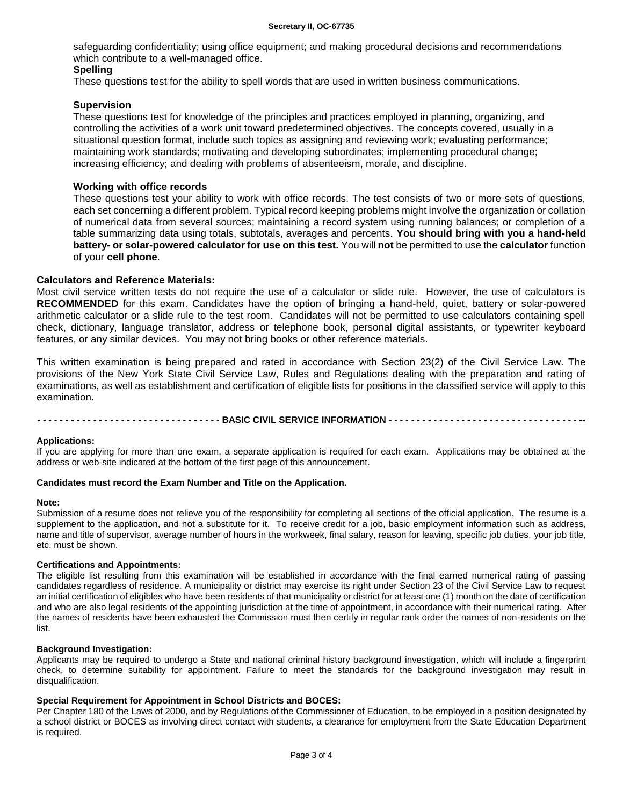safeguarding confidentiality; using office equipment; and making procedural decisions and recommendations which contribute to a well-managed office.

## **Spelling**

These questions test for the ability to spell words that are used in written business communications.

## **Supervision**

These questions test for knowledge of the principles and practices employed in planning, organizing, and controlling the activities of a work unit toward predetermined objectives. The concepts covered, usually in a situational question format, include such topics as assigning and reviewing work; evaluating performance; maintaining work standards; motivating and developing subordinates; implementing procedural change; increasing efficiency; and dealing with problems of absenteeism, morale, and discipline.

## **Working with office records**

These questions test your ability to work with office records. The test consists of two or more sets of questions, each set concerning a different problem. Typical record keeping problems might involve the organization or collation of numerical data from several sources; maintaining a record system using running balances; or completion of a table summarizing data using totals, subtotals, averages and percents. **You should bring with you a hand-held battery- or solar-powered calculator for use on this test.** You will **not** be permitted to use the **calculator** function of your **cell phone**.

## **Calculators and Reference Materials:**

Most civil service written tests do not require the use of a calculator or slide rule. However, the use of calculators is **RECOMMENDED** for this exam. Candidates have the option of bringing a hand-held, quiet, battery or solar-powered arithmetic calculator or a slide rule to the test room. Candidates will not be permitted to use calculators containing spell check, dictionary, language translator, address or telephone book, personal digital assistants, or typewriter keyboard features, or any similar devices. You may not bring books or other reference materials.

This written examination is being prepared and rated in accordance with Section 23(2) of the Civil Service Law. The provisions of the New York State Civil Service Law, Rules and Regulations dealing with the preparation and rating of examinations, as well as establishment and certification of eligible lists for positions in the classified service will apply to this examination.

--------------------------------- BASIC CIVIL SERVICE INFORMATION --------------------

### **Applications:**

If you are applying for more than one exam, a separate application is required for each exam. Applications may be obtained at the address or web-site indicated at the bottom of the first page of this announcement.

### **Candidates must record the Exam Number and Title on the Application.**

#### **Note:**

Submission of a resume does not relieve you of the responsibility for completing all sections of the official application. The resume is a supplement to the application, and not a substitute for it. To receive credit for a job, basic employment information such as address, name and title of supervisor, average number of hours in the workweek, final salary, reason for leaving, specific job duties, your job title, etc. must be shown.

## **Certifications and Appointments:**

The eligible list resulting from this examination will be established in accordance with the final earned numerical rating of passing candidates regardless of residence. A municipality or district may exercise its right under Section 23 of the Civil Service Law to request an initial certification of eligibles who have been residents of that municipality or district for at least one (1) month on the date of certification and who are also legal residents of the appointing jurisdiction at the time of appointment, in accordance with their numerical rating. After the names of residents have been exhausted the Commission must then certify in regular rank order the names of non-residents on the list.

#### **Background Investigation:**

Applicants may be required to undergo a State and national criminal history background investigation, which will include a fingerprint check, to determine suitability for appointment. Failure to meet the standards for the background investigation may result in disqualification.

### **Special Requirement for Appointment in School Districts and BOCES:**

Per Chapter 180 of the Laws of 2000, and by Regulations of the Commissioner of Education, to be employed in a position designated by a school district or BOCES as involving direct contact with students, a clearance for employment from the State Education Department is required.